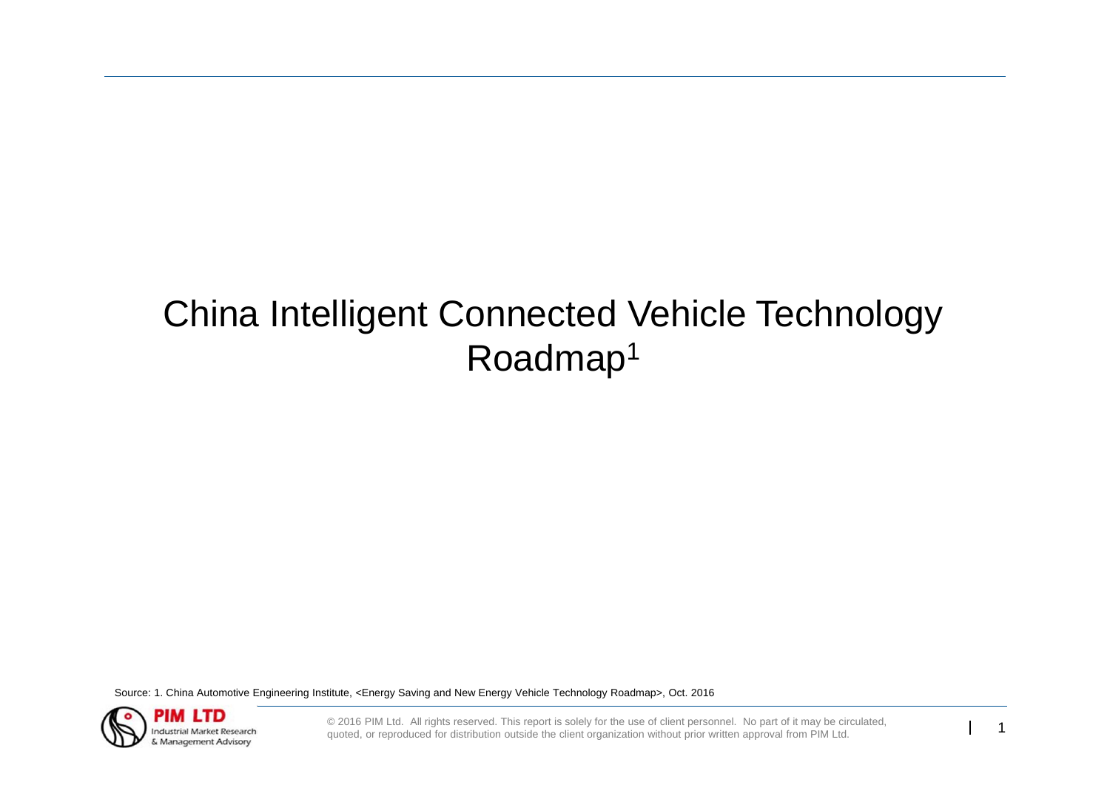# China Intelligent Connected Vehicle Technology Roadmap1

Source: 1. China Automotive Engineering Institute, <Energy Saving and New Energy Vehicle Technology Roadmap>, Oct. 2016

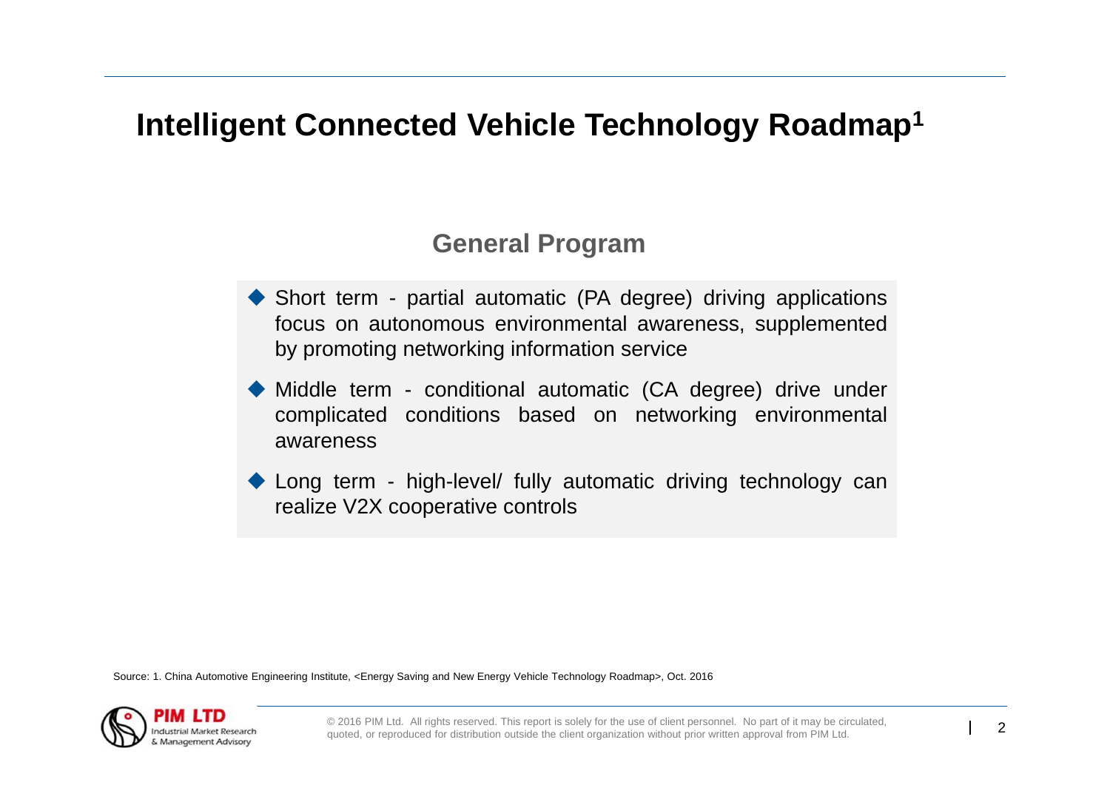## **Intelligent Connected Vehicle Technology Roadmap1**

### **General Program**

- Short term partial automatic (PA degree) driving applications focus on autonomous environmental awareness, supplemented by promoting networking information service
- Middle term conditional automatic (CA degree) drive under complicated conditions based on networking environmental awareness
- Long term high-level/ fully automatic driving technology can realize V2X cooperative controls

Source: 1. China Automotive Engineering Institute, <Energy Saving and New Energy Vehicle Technology Roadmap>, Oct. 2016

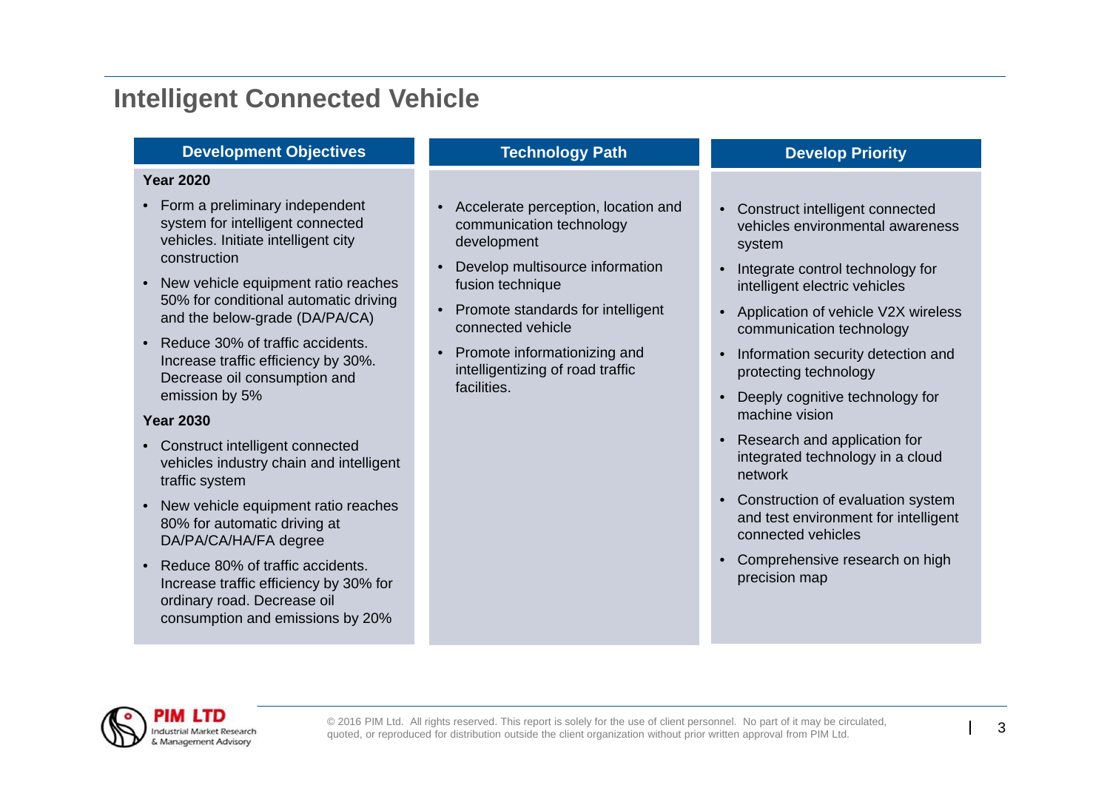#### **Development Objectives**

#### **Year 2020**

- Form a preliminary independent system for intelligent connected vehicles. Initiate intelligent city construction
- New vehicle equipment ratio reaches 50% for conditional automatic driving and the below-grade (DA/PA/CA)
- Reduce 30% of traffic accidents. Increase traffic efficiency by 30%. Decrease oil consumption and emission by 5%

#### **Year 2030**

- Construct intelligent connected vehicles industry chain and intelligent traffic system
- New vehicle equipment ratio reaches 80% for automatic driving at DA/PA/CA/HA/FA degree
- • Reduce 80% of traffic accidents. Increase traffic efficiency by 30% for ordinary road. Decrease oil consumption and emissions by 20%

#### **Technology Path**

- Accelerate perception, location and communication technology development
- • Develop multisource information fusion technique
- Promote standards for intelligent connected vehicle
- Promote informationizing and intelligentizing of road traffic facilities.

#### **Develop Priority**

- Construct intelligent connected vehicles environmental awareness system
- Integrate control technology for intelligent electric vehicles
- Application of vehicle V2X wireless communication technology
- Information security detection and protecting technology
- Deeply cognitive technology for machine vision
- • Research and application for integrated technology in <sup>a</sup> cloud network
- Construction of evaluation system and test environment for intelligent connected vehicles
- Comprehensive research on high precision map

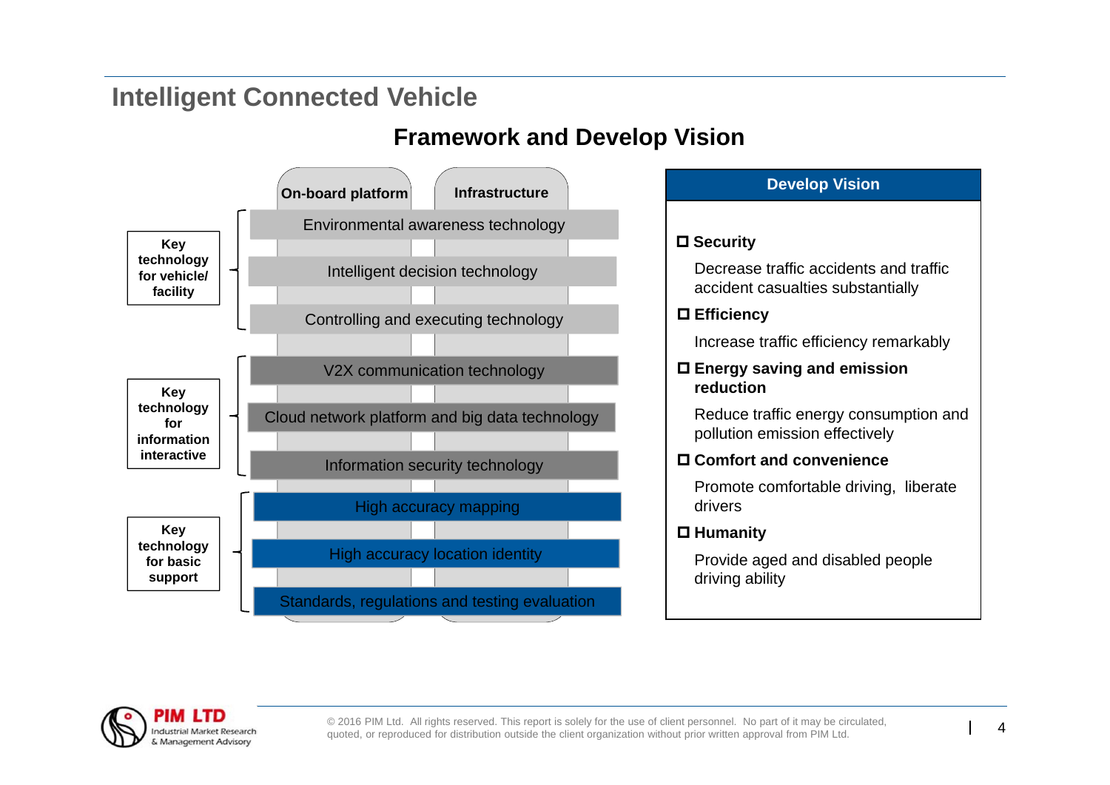### **Framework and Develop Vision**



| <b>Develop Vision</b>     |                                                                             |  |  |  |  |  |
|---------------------------|-----------------------------------------------------------------------------|--|--|--|--|--|
|                           |                                                                             |  |  |  |  |  |
|                           | $\square$ Security                                                          |  |  |  |  |  |
|                           | Decrease traffic accidents and traffic<br>accident casualties substantially |  |  |  |  |  |
| $\square$ Efficiency      |                                                                             |  |  |  |  |  |
|                           | Increase traffic efficiency remarkably                                      |  |  |  |  |  |
|                           | $\square$ Energy saving and emission<br>reduction                           |  |  |  |  |  |
|                           | Reduce traffic energy consumption and<br>pollution emission effectively     |  |  |  |  |  |
| □ Comfort and convenience |                                                                             |  |  |  |  |  |
|                           | Promote comfortable driving, liberate<br>drivers                            |  |  |  |  |  |
| $\square$ Humanity        |                                                                             |  |  |  |  |  |
|                           | Provide aged and disabled people<br>driving ability                         |  |  |  |  |  |

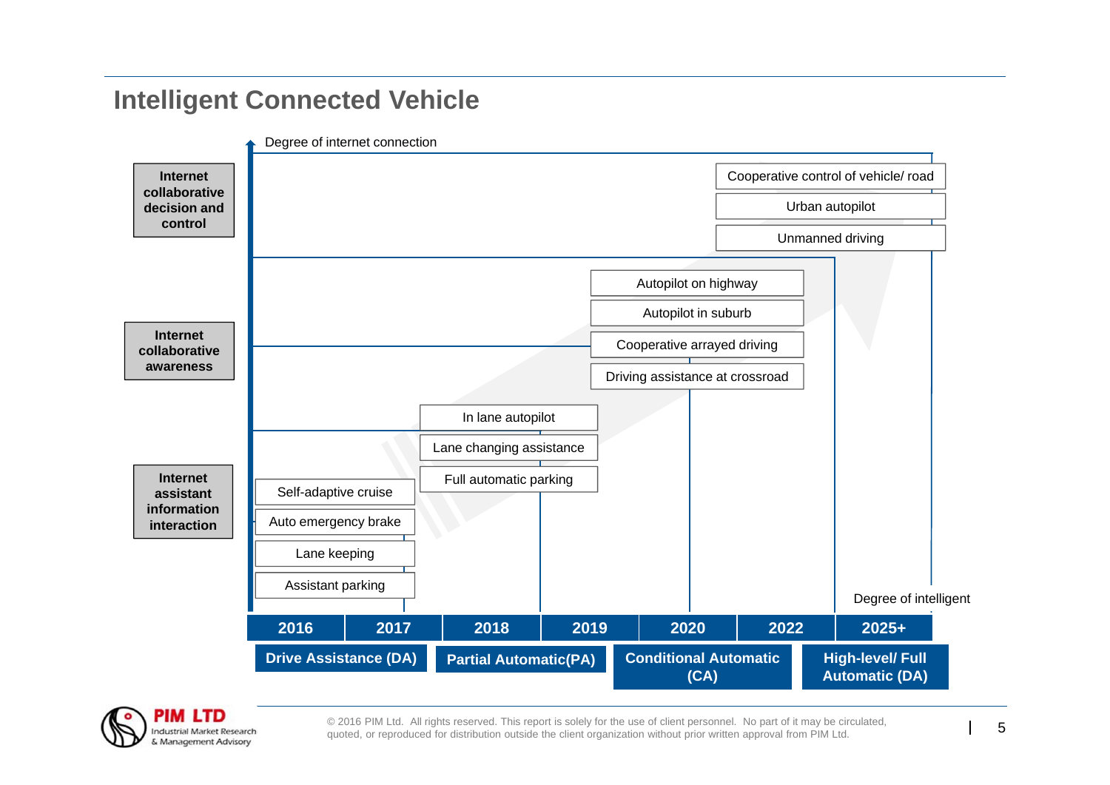